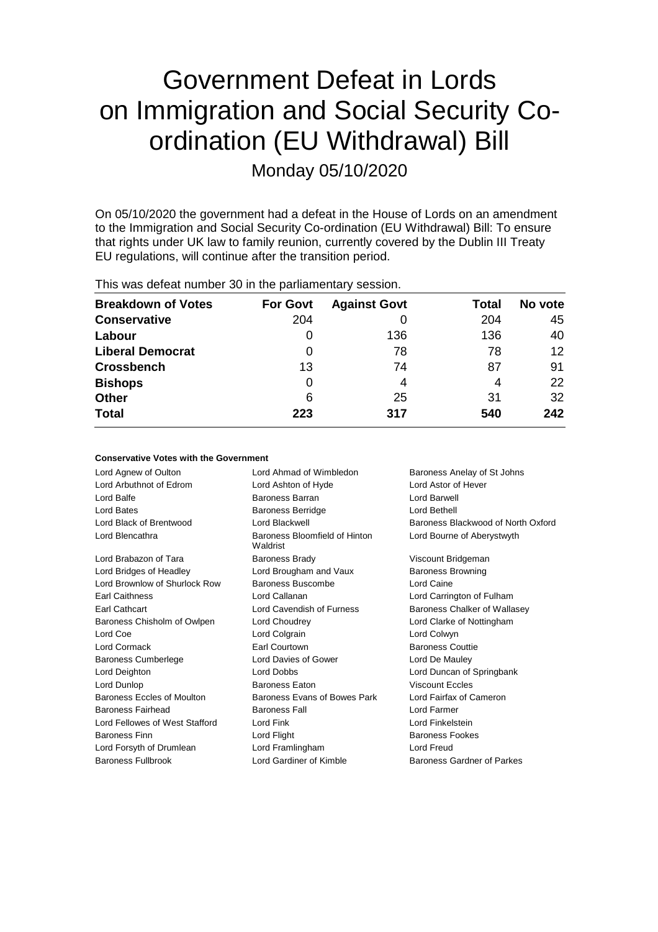# Government Defeat in Lords on Immigration and Social Security Coordination (EU Withdrawal) Bill

Monday 05/10/2020

On 05/10/2020 the government had a defeat in the House of Lords on an amendment to the Immigration and Social Security Co-ordination (EU Withdrawal) Bill: To ensure that rights under UK law to family reunion, currently covered by the Dublin III Treaty EU regulations, will continue after the transition period.

This was defeat number 30 in the parliamentary session.

| <b>Breakdown of Votes</b> | <b>For Govt</b> | <b>Against Govt</b> | Total | No vote         |
|---------------------------|-----------------|---------------------|-------|-----------------|
| <b>Conservative</b>       | 204             |                     | 204   | 45              |
| Labour                    | 0               | 136                 | 136   | 40              |
| <b>Liberal Democrat</b>   | 0               | 78                  | 78    | 12 <sup>2</sup> |
| <b>Crossbench</b>         | 13              | 74                  | 87    | 91              |
| <b>Bishops</b>            | 0               | 4                   | 4     | 22              |
| <b>Other</b>              | 6               | 25                  | 31    | 32              |
| <b>Total</b>              | 223             | 317                 | 540   | 242             |

#### **Conservative Votes with the Government**

Lord Agnew of Oulton Lord Ahmad of Wimbledon Baroness Anelay of St Johns Lord Arbuthnot of Edrom Lord Ashton of Hyde Lord Astor of Hever Lord Balfe **Baroness Barran Lord Barwell** Baroness Barran **Lord Barwell** Lord Bates Baroness Berridge Lord Bethell Lord Black of Brentwood Lord Blackwell Baroness Blackwood of North Oxford Lord Blencathra **Baroness** Bloomfield of Hinton Waldrist Lord Bourne of Aberystwyth Lord Brabazon of Tara **Baroness Brady Communist Constructs** Viscount Bridgeman Lord Bridges of Headley **Lord Brougham and Vaux** Baroness Browning Lord Brownlow of Shurlock Row Baroness Buscombe Lord Caine Earl Caithness Lord Callanan Lord Carrington of Fulham Earl Cathcart Lord Cavendish of Furness Baroness Chalker of Wallasey Baroness Chisholm of Owlpen Lord Choudrey Lord Clarke of Nottingham Lord Coe **Lord Colgrain** Lord Colgrain **Lord Colwyn** Lord Cormack Earl Courtown Baroness Couttie Baroness Cumberlege Lord Davies of Gower Lord De Mauley Lord Deighton Lord Dobbs Lord Duncan of Springbank Lord Dunlop Baroness Eaton Viscount Eccles Baroness Eccles of Moulton Baroness Evans of Bowes Park Lord Fairfax of Cameron Baroness Fairhead Baroness Fall Lord Farmer Lord Fellowes of West Stafford Lord Fink Lord Fink Lord Finkelstein Baroness Finn **Baroness Fookes** Lord Flight **Baroness Fookes Baroness Fookes** Lord Forsyth of Drumlean Lord Framlingham Lord Freud Baroness Fullbrook **Lord Gardiner of Kimble** Baroness Gardner of Parkes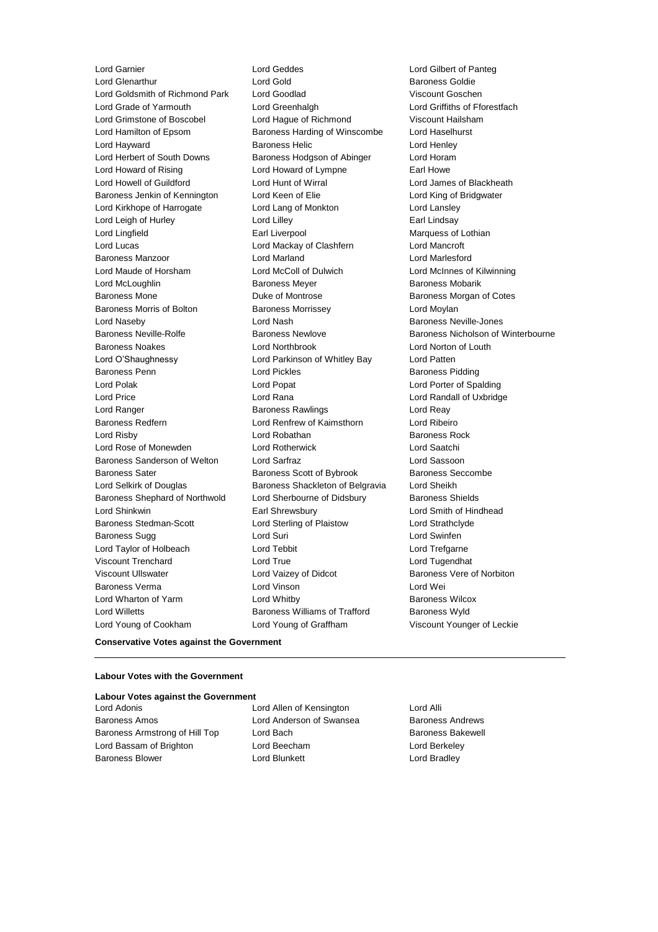Lord Garnier Lord Geddes Lord Gilbert of Panteg Lord Goldsmith of Richmond Park Lord Goodlad Viscount Goschen Lord Grade of Yarmouth Lord Greenhalgh Lord Griffiths of Fforestfach Lord Grimstone of Boscobel Lord Hague of Richmond Viscount Hailsham Lord Hamilton of Epsom Baroness Harding of Winscombe Lord Haselhurst Lord Hayward **Baroness Helic** Lord Henley **Lord Henley** Lord Herbert of South Downs Baroness Hodgson of Abinger Lord Horam Lord Howard of Rising **Lord Howard of Lympne** Earl Howe Lord Howell of Guildford Lord Hunt of Wirral Lord James of Blackheath Baroness Jenkin of Kennington Lord Keen of Elie Lord King of Bridgwater Lord Kirkhope of Harrogate Lord Lang of Monkton Lord Lansley Lord Leigh of Hurley **Lord Lilley** Lord Lilley **Carl Lindsay** Lord Lingfield **Earl Liverpool** Earl Liverpool Marquess of Lothian Lord Lucas Lord Mackay of Clashfern Lord Mancroft Baroness Manzoor Lord Marland Lord Marlesford Lord Maude of Horsham Lord McColl of Dulwich Lord McInnes of Kilwinning Lord McLoughlin **Baroness Meyer** Baroness Meyer Baroness Mobarik Baroness Mone Duke of Montrose Baroness Morgan of Cotes Baroness Morris of Bolton Baroness Morrissey Carolyness Morrissey Lord Naseby Lord Nash Baroness Neville-Jones Baroness Neville-Rolfe Baroness Newlove Baroness Newlove Baroness Nicholson of Winterbourne Baroness Noakes Lord Northbrook Lord Norton of Louth Lord O'Shaughnessy Lord Parkinson of Whitley Bay Lord Patten Baroness Penn **Baroness Pidding** Lord Pickles **Baroness Pidding** Lord Polak Lord Popat Lord Porter of Spalding Lord Price Lord Rana Lord Randall of Uxbridge Lord Ranger Baroness Rawlings Lord Reay Baroness Redfern Lord Renfrew of Kaimsthorn Lord Ribeiro Lord Risby **Lord Robathan** Baroness Rock **Baroness** Rock Lord Rose of Monewden Lord Rotherwick Lord Saatchi Baroness Sanderson of Welton Lord Sarfraz Lord Sassoon Baroness Sater **Baroness Scott of Bybrook** Baroness Seccombe Lord Selkirk of Douglas **Baroness Shackleton of Belgravia** Lord Sheikh Baroness Shephard of Northwold Lord Sherbourne of Didsbury Baroness Shields Lord Shinkwin Earl Shrewsbury Lord Smith of Hindhead Baroness Stedman-Scott Lord Sterling of Plaistow Lord Strathclyde Baroness Sugg **Lord Suri Lord Suri Lord Suri Lord Suri Lord Swinfen** Lord Taylor of Holbeach Lord Tebbit Lord Trefgarne Viscount Trenchard Lord True Lord Tugendhat Viscount Ullswater Lord Vaizey of Didcot Baroness Vere of Norbiton Baroness Verma Lord Vinson Lord Wei Lord Wharton of Yarm **Example 20** Lord Whitby **Baroness Wilcox** Lord Willetts **Baroness Williams of Trafford** Baroness Wyld Lord Young of Cookham Lord Young of Graffham Viscount Younger of Leckie

Lord Gold<br>
Lord Goodlad<br>
Lord Goodlad<br>
Lord Goodlad

#### **Conservative Votes against the Government**

#### **Labour Votes with the Government**

### **Labour Votes against the Government**

Baroness Amos **Example 2** Lord Anderson of Swansea Baroness Andrews Baroness Armstrong of Hill Top Lord Bach Baroness Bakewell Lord Bassam of Brighton Lord Beecham Lord Berkeley Baroness Blower **Lord Blunkett** Lord Bradley **Lord Bradley** 

Lord Adonis Lord Allen of Kensington Lord Alli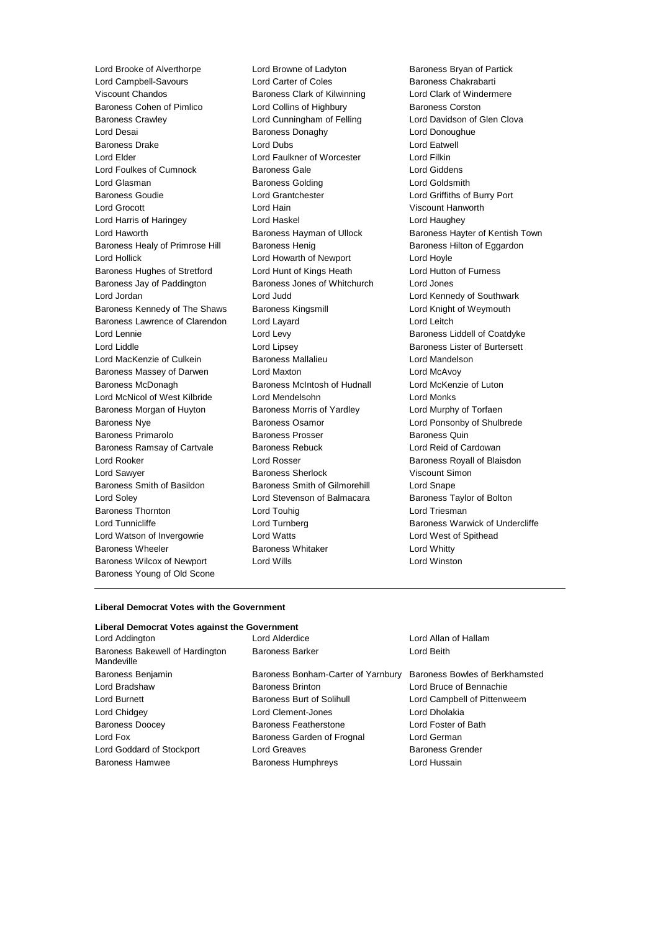Lord Brooke of Alverthorpe Lord Browne of Ladyton Baroness Bryan of Partick<br>
Lord Campbell-Savours Lord Carter of Coles Baroness Chakrabarti Lord Campbell-Savours Lord Carter of Coles Viscount Chandos Baroness Clark of Kilwinning Lord Clark of Windermere Baroness Cohen of Pimlico **Lord Collins of Highbury** Baroness Corston Baroness Crawley **Lord Cunningham of Felling** Lord Davidson of Glen Clova Lord Desai **Baroness Donaghy Lord Donoughue Lord Donoughue** Baroness Drake Lord Dubs Lord Eatwell Lord Elder Lord Faulkner of Worcester Lord Filkin Lord Foulkes of Cumnock Baroness Gale Lord Giddens Lord Glasman Baroness Golding Lord Goldsmith Baroness Goudie Lord Grantchester Lord Griffiths of Burry Port Lord Grocott Lord Hain Viscount Hanworth Lord Harris of Haringey Lord Haskel Lord Haughey Lord Haworth **Baroness Hayman of Ullock** Baroness Hayter of Kentish Town Baroness Healy of Primrose Hill Baroness Henig Baroness Hensen Baroness Hilton of Eggardon Lord Hollick Lord Howarth of Newport Lord Hoyle Baroness Hughes of Stretford Lord Hunt of Kings Heath Lord Hutton of Furness Baroness Jay of Paddington Baroness Jones of Whitchurch Lord Jones Lord Jordan Lord Judd Lord Kennedy of Southwark Baroness Kennedy of The Shaws Baroness Kingsmill **Baroness Lord Knight of Weymouth** Baroness Lawrence of Clarendon Lord Layard **Lord Leitch** Lord Leitch Lord Lennie Lord Levy Baroness Liddell of Coatdyke Lord Liddle Lord Lipsey Baroness Lister of Burtersett Lord MacKenzie of Culkein Baroness Mallalieu Lord Mandelson Baroness Massey of Darwen Lord Maxton Lord McAvoy Baroness McDonagh Baroness McIntosh of Hudnall Lord McKenzie of Luton Lord McNicol of West Kilbride Lord Mendelsohn Lord Monks Baroness Morgan of Huyton Baroness Morris of Yardley **Lord Murphy of Torfaen** Baroness Nye **Baroness Osamor** Baroness Osamor **Lord Ponsonby of Shulbrede** Baroness Primarolo **Baroness Prosser** Baroness Quin Baroness Ramsay of Cartvale Baroness Rebuck Lord Reid of Cardowan Lord Rooker **Lord Rosser** Lord Rosser **Baroness Royall of Blaisdon** Lord Sawyer **Baroness Sherlock** Viscount Simon Baroness Smith of Basildon Baroness Smith of Gilmorehill Lord Snape Lord Soley Lord Stevenson of Balmacara Baroness Taylor of Bolton Baroness Thornton **Communist Construction** Lord Touhig Lord Triesman Lord Triesman Lord Turnicliffe **Lord Turnberg Community** Baroness Warwick of Undercliffe Lord Watson of Invergowrie Lord Watts Lord West of Spithead Baroness Wheeler **Baroness Whitaker** Lord Whitty Baroness Wilcox of Newport Lord Wills **Lord Winston** Baroness Young of Old Scone

#### **Liberal Democrat Votes with the Government**

#### **Liberal Democrat Votes against the Government**

| Baroness Bakewell of Hardington<br><b>Baroness Barker</b><br>Mandeville | Lord Beith                     |
|-------------------------------------------------------------------------|--------------------------------|
| Baroness Benjamin<br>Baroness Bonham-Carter of Yarnbury                 | Baroness Bowles of Berkhamsted |
| Lord Bradshaw<br><b>Baroness Brinton</b>                                | Lord Bruce of Bennachie        |
| Lord Burnett<br><b>Baroness Burt of Solihull</b>                        | Lord Campbell of Pittenweem    |
| Lord Chidgey<br>Lord Clement-Jones                                      | Lord Dholakia                  |
| <b>Baroness Doocey</b><br><b>Baroness Featherstone</b>                  | Lord Foster of Bath            |
| Lord Fox<br>Baroness Garden of Frognal                                  | Lord German                    |
| Lord Goddard of Stockport<br>Lord Greaves                               | <b>Baroness Grender</b>        |
| <b>Baroness Hamwee</b><br><b>Baroness Humphreys</b>                     | Lord Hussain                   |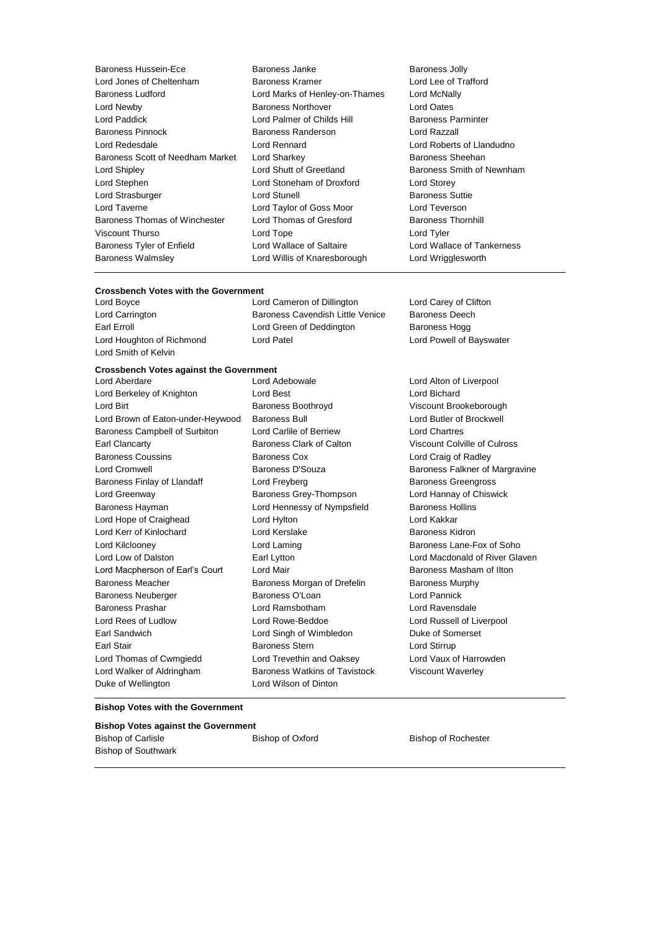| Baroness Hussein-Ece             |
|----------------------------------|
| Lord Jones of Cheltenham         |
| Baroness Ludford                 |
| Lord Newby                       |
| Lord Paddick                     |
| Baroness Pinnock                 |
| Lord Redesdale                   |
| Baroness Scott of Needham Market |
| Lord Shipley                     |
| Lord Stephen                     |
| Lord Strasburger                 |
| I ord Taverne                    |
| Baroness Thomas of Winchester    |
| Viscount Thurso                  |
| Baroness Tyler of Enfield        |
| <b>Baroness Walmsley</b>         |

Baroness Janke Baroness Jolly Baroness Kramer Lord Lee of Trafford Lord Marks of Henley-on-Thames Lord McNally Baroness Northover **Lord Oates** Lord Palmer of Childs Hill Baroness Parminter Baroness Randerson **Baroness Randerson** Lord Razzall Lord Rennard **Lord Roberts of Llandudno** Lord Sharkey **Baroness Sheehan** Lord Shutt of Greetland Baroness Smith of Newnham Lord Stoneham of Droxford Lord Storey Lord Stunell **Baroness** Suttie Lord Taylor of Goss Moor Lord Teverson Lord Thomas of Gresford Baroness Thornhill Lord Tope Lord Tyler Lord Wallace of Saltaire **Lord Wallace of Tankerness** Lord Willis of Knaresborough Lord Wrigglesworth

#### **Crossbench Votes with the Government**

Lord Carrington **Baroness Cavendish Little Venice** Baroness Deech Earl Erroll **Example 20** Example 20 Lord Green of Deddington Baroness Hogg Lord Houghton of Richmond Lord Patel Lord Powell of Bayswater Lord Smith of Kelvin

## **Crossbench Votes against the Government**

Lord Berkeley of Knighton **Lord Best** Lord Best **Lord Bichard** Lord Birt **Baroness Boothroyd** Viscount Brookeborough **Viscount Brookeborough** Lord Brown of Eaton-under-Heywood Baroness Bull **Lord Butler of Brockwell** Baroness Campbell of Surbiton Lord Carlile of Berriew Lord Chartres Earl Clancarty Baroness Clark of Calton Viscount Colville of Culross Baroness Coussins **Baroness Cox Lord Craig of Radley** Lord Cromwell **Baroness D'Souza** Baroness D'Souza Baroness Falkner of Margravine Baroness Finlay of Llandaff **Lord Freyberg** Baroness Greengross **Baroness** Greengross Lord Greenway Baroness Grey-Thompson Lord Hannay of Chiswick Baroness Hayman **Lord Hennessy of Nympsfield** Baroness Hollins Lord Hope of Craighead Lord Hylton Lord Kakkar Lord Kerr of Kinlochard Lord Kerslake Baroness Kidron Lord Kilclooney **Lord Laming Lord Laming** Baroness Lane-Fox of Soho Lord Low of Dalston Earl Lytton Lord Macdonald of River Glaven Lord Macpherson of Earl's Court Lord Mair Baroness Masham of Ilton Baroness Meacher **Baroness Morgan of Drefelin** Baroness Murphy Baroness Neuberger **Baroness O'Loan** Lord Pannick Baroness Prashar Lord Ramsbotham Lord Ravensdale Lord Rees of Ludlow Lord Rowe-Beddoe Lord Russell of Liverpool Earl Sandwich **Lord Singh of Wimbledon** Duke of Somerset Earl Stair Baroness Stern Lord Stirrup Lord Thomas of Cwmgiedd Lord Trevethin and Oaksey Lord Vaux of Harrowden Lord Walker of Aldringham Baroness Watkins of Tavistock Viscount Waverley Duke of Wellington Lord Wilson of Dinton

Lord Aberdare Lord Adebowale Lord Alton of Liverpool

Lord Boyce Lord Cameron of Dillington Lord Carey of Clifton

#### **Bishop Votes with the Government**

| <b>Bishop Votes against the Government</b> |                  |                            |
|--------------------------------------------|------------------|----------------------------|
| Bishop of Carlisle                         | Bishop of Oxford | <b>Bishop of Rochester</b> |
| Bishop of Southwark                        |                  |                            |